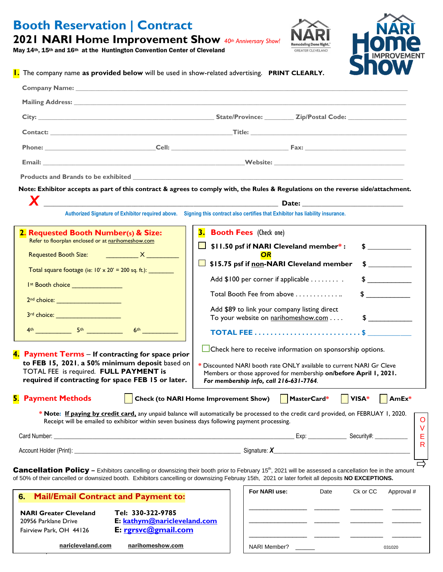|  | <b>Booth Reservation   Contract</b> |  |
|--|-------------------------------------|--|
|--|-------------------------------------|--|

 $\blacksquare$ <u>POLICIES (SET UP OF EXHIBITS OF EXHIBITION CONSTRUCTION OF</u>

narihomeshow.com

**2021 NARI Home Improvement Show** *<sup>40</sup>th Anniversary Show!*

May 14th, 15th and 16th at the Huntington Convention Center of Cleveland



NARI Member? \_\_\_\_\_\_ 031020



| 1. The company name as provided below will be used in show-related advertising. PRINT CLEARLY. |  |
|------------------------------------------------------------------------------------------------|--|
|------------------------------------------------------------------------------------------------|--|

|                                                                                                                         | Note: Exhibitor accepts as part of this contract & agrees to comply with, the Rules & Regulations on the reverse side/attachment.                                                                                                                                                                                      |
|-------------------------------------------------------------------------------------------------------------------------|------------------------------------------------------------------------------------------------------------------------------------------------------------------------------------------------------------------------------------------------------------------------------------------------------------------------|
|                                                                                                                         | $\bm{X}$ Date: Date: Date: Date: Date: $\bm{X}$                                                                                                                                                                                                                                                                        |
|                                                                                                                         | Authorized Signature of Exhibitor required above. Signing this contract also certifies that Exhibitor has liability insurance.                                                                                                                                                                                         |
| <b>2. Requested Booth Number(s) &amp; Size:</b>                                                                         | 3.<br><b>Booth Fees</b> (Check one)                                                                                                                                                                                                                                                                                    |
| Refer to floorplan enclosed or at narihomeshow.com                                                                      | \$11.50 psf if NARI Cleveland member*:<br>$\frac{1}{2}$                                                                                                                                                                                                                                                                |
| <b>Requested Booth Size:</b>                                                                                            | <b>OR</b><br>$\mathcal{L}^{\mathcal{A}}$<br>$\frac{1}{2}$<br>\$15.75 psf if non-NARI Cleveland member                                                                                                                                                                                                                  |
| Total square footage (ie: 10' x 20' = 200 sq. ft.): __________                                                          | $\frac{1}{2}$<br>Add \$100 per corner if applicable                                                                                                                                                                                                                                                                    |
| I <sup>st</sup> Booth choice ________________                                                                           | $\frac{1}{2}$<br>Total Booth Fee from above                                                                                                                                                                                                                                                                            |
| 2 <sup>nd</sup> choice: _________________________                                                                       | Add \$89 to link your company listing direct                                                                                                                                                                                                                                                                           |
| 3rd choice: _______________________                                                                                     | $\sim$<br>To your website on narihomeshow.com                                                                                                                                                                                                                                                                          |
| $4th$ $5th$ $1th$ $1th$ $1th$ $1th$ $1th$ $1th$ $1th$ $1th$ $1th$ $1th$ $1th$ $1th$ $1th$ $1th$ $1th$ $1th$ $1th$ $1th$ |                                                                                                                                                                                                                                                                                                                        |
|                                                                                                                         | $\Box$ Check here to receive information on sponsorship options.                                                                                                                                                                                                                                                       |
| 4. Payment Terms – If contracting for space prior<br>to FEB 15, 2021, a 50% minimum deposit based on                    | * Discounted NARI booth rate ONLY available to current NARI Gr Cleve                                                                                                                                                                                                                                                   |
| TOTAL FEE is required. FULL PAYMENT is<br>required if contracting for space FEB 15 or later.                            | Members or those approved for membership on/before April 1, 2021.<br>For membership info, call 216-631-7764.                                                                                                                                                                                                           |
|                                                                                                                         |                                                                                                                                                                                                                                                                                                                        |
| 5. Payment Methods                                                                                                      | Check (to NARI Home Improvement Show)   MasterCard*<br>$\vert$ VISA*<br>$\blacksquare$ AmEx*                                                                                                                                                                                                                           |
| Receipt will be emailed to exhibitor within seven business days following payment processing.                           | * Note: If paying by credit card, any unpaid balance will automatically be processed to the credit card provided, on FEBRUAY 1, 2020.<br>$\circ$                                                                                                                                                                       |
|                                                                                                                         | $\overline{V}$<br>$\overline{E}$                                                                                                                                                                                                                                                                                       |
|                                                                                                                         | $\overline{\mathsf{R}}$                                                                                                                                                                                                                                                                                                |
|                                                                                                                         |                                                                                                                                                                                                                                                                                                                        |
|                                                                                                                         | Cancellation Policy - Exhibitors cancelling or downsizing their booth prior to February 15 <sup>th</sup> , 2021 will be assessed a cancellation fee in the amount<br>of 50% of their cancelled or downsized booth. Exhibitors cancelling or downsizing Februay 15th, 2021 or later forfeit all deposits NO EXCEPTIONS. |
|                                                                                                                         | For NARI use:<br>Ck or CC<br>Approval #<br>Date                                                                                                                                                                                                                                                                        |
| <b>Mail/Email Contract and Payment to:</b><br>6.                                                                        |                                                                                                                                                                                                                                                                                                                        |
| Tel: 330-322-9785<br><b>NARI Greater Cleveland</b><br>E: kathym@naricleveland.com<br>20956 Parklane Drive               |                                                                                                                                                                                                                                                                                                                        |
| E: rgrsvc@gmail.com<br>Fairview Park, OH 44126                                                                          |                                                                                                                                                                                                                                                                                                                        |